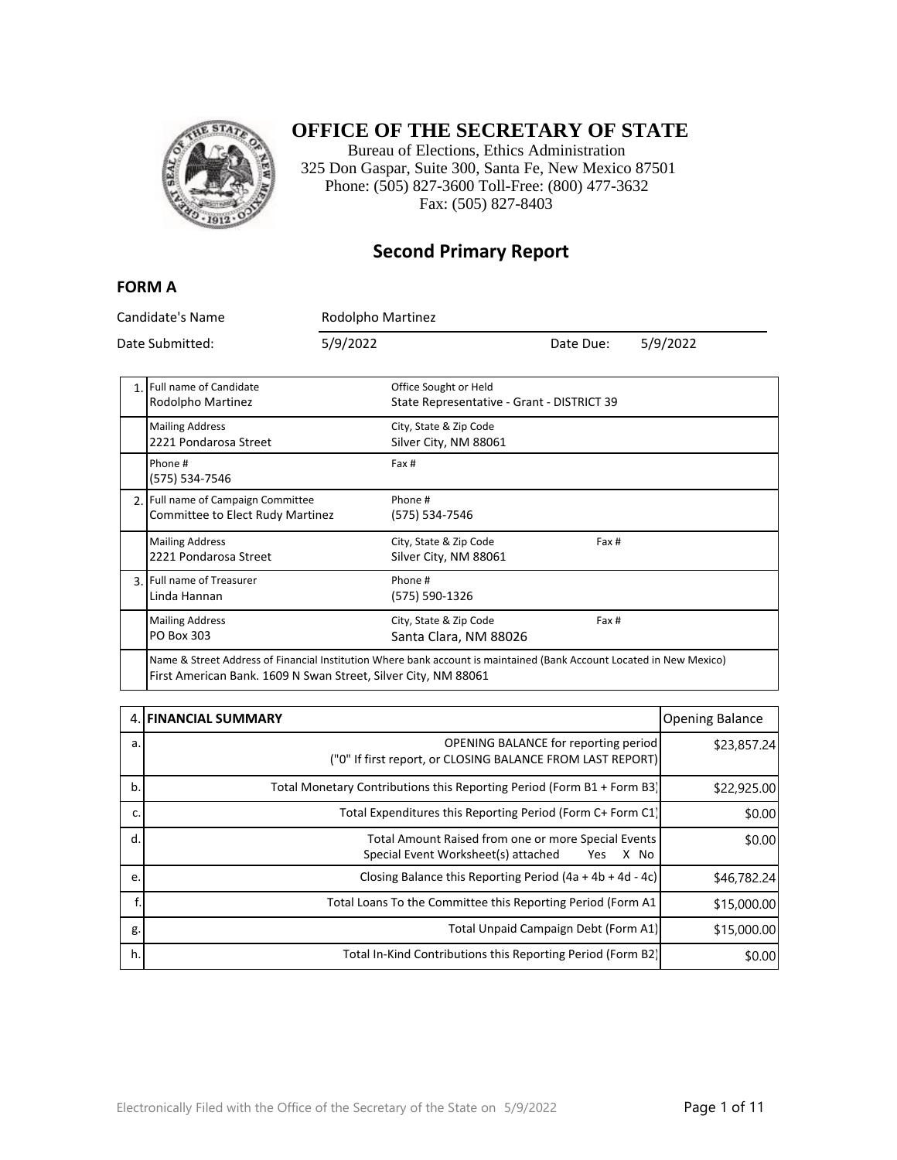

### **OFFICE OF THE SECRETARY OF STATE**

Bureau of Elections, Ethics Administration 325 Don Gaspar, Suite 300, Santa Fe, New Mexico 87501 Phone: (505) 827-3600 Toll-Free: (800) 477-3632 Fax: (505) 827-8403

#### **Second Primary Report**

#### **FORM A**

| Candidate's Name<br>Rodolpho Martinez<br>5/9/2022<br>Date Submitted: |                                                                                                                      |  |                                                                     |          |  |
|----------------------------------------------------------------------|----------------------------------------------------------------------------------------------------------------------|--|---------------------------------------------------------------------|----------|--|
|                                                                      |                                                                                                                      |  | Date Due:                                                           | 5/9/2022 |  |
|                                                                      | 1. Full name of Candidate<br>Rodolpho Martinez                                                                       |  | Office Sought or Held<br>State Representative - Grant - DISTRICT 39 |          |  |
|                                                                      | <b>Mailing Address</b><br>2221 Pondarosa Street                                                                      |  | City, State & Zip Code<br>Silver City, NM 88061                     |          |  |
|                                                                      | Phone #<br>(575) 534-7546                                                                                            |  | Fax #                                                               |          |  |
|                                                                      | 2. Full name of Campaign Committee<br>Committee to Elect Rudy Martinez                                               |  | Phone #<br>(575) 534-7546                                           |          |  |
|                                                                      | <b>Mailing Address</b><br>2221 Pondarosa Street                                                                      |  | City, State & Zip Code<br>Silver City, NM 88061                     | Fax #    |  |
|                                                                      | 3. Full name of Treasurer<br>Linda Hannan                                                                            |  | Phone #<br>(575) 590-1326                                           |          |  |
|                                                                      | <b>Mailing Address</b><br><b>PO Box 303</b>                                                                          |  | City, State & Zip Code<br>Santa Clara, NM 88026                     | Fax #    |  |
|                                                                      | Name & Street Address of Financial Institution Where bank account is maintained (Bank Account Located in New Mexico) |  |                                                                     |          |  |

First American Bank. 1609 N Swan Street, Silver City, NM 88061

|    | 4. FINANCIAL SUMMARY                                                                                      | <b>Opening Balance</b> |
|----|-----------------------------------------------------------------------------------------------------------|------------------------|
| a. | <b>OPENING BALANCE for reporting period</b><br>("0" If first report, or CLOSING BALANCE FROM LAST REPORT) | \$23,857.24            |
| b. | Total Monetary Contributions this Reporting Period (Form B1 + Form B3)                                    | \$22,925.00            |
| c. | Total Expenditures this Reporting Period (Form C+ Form C1)                                                | \$0.00                 |
| d. | Total Amount Raised from one or more Special Events<br>Special Event Worksheet(s) attached<br>X No<br>Yes | \$0.00                 |
| e. | Closing Balance this Reporting Period $(4a + 4b + 4d - 4c)$                                               | \$46,782.24]           |
|    | Total Loans To the Committee this Reporting Period (Form A1)                                              | \$15,000.00            |
| g. | Total Unpaid Campaign Debt (Form A1)                                                                      | \$15,000.00            |
| h. | Total In-Kind Contributions this Reporting Period (Form B2)                                               | \$0.00                 |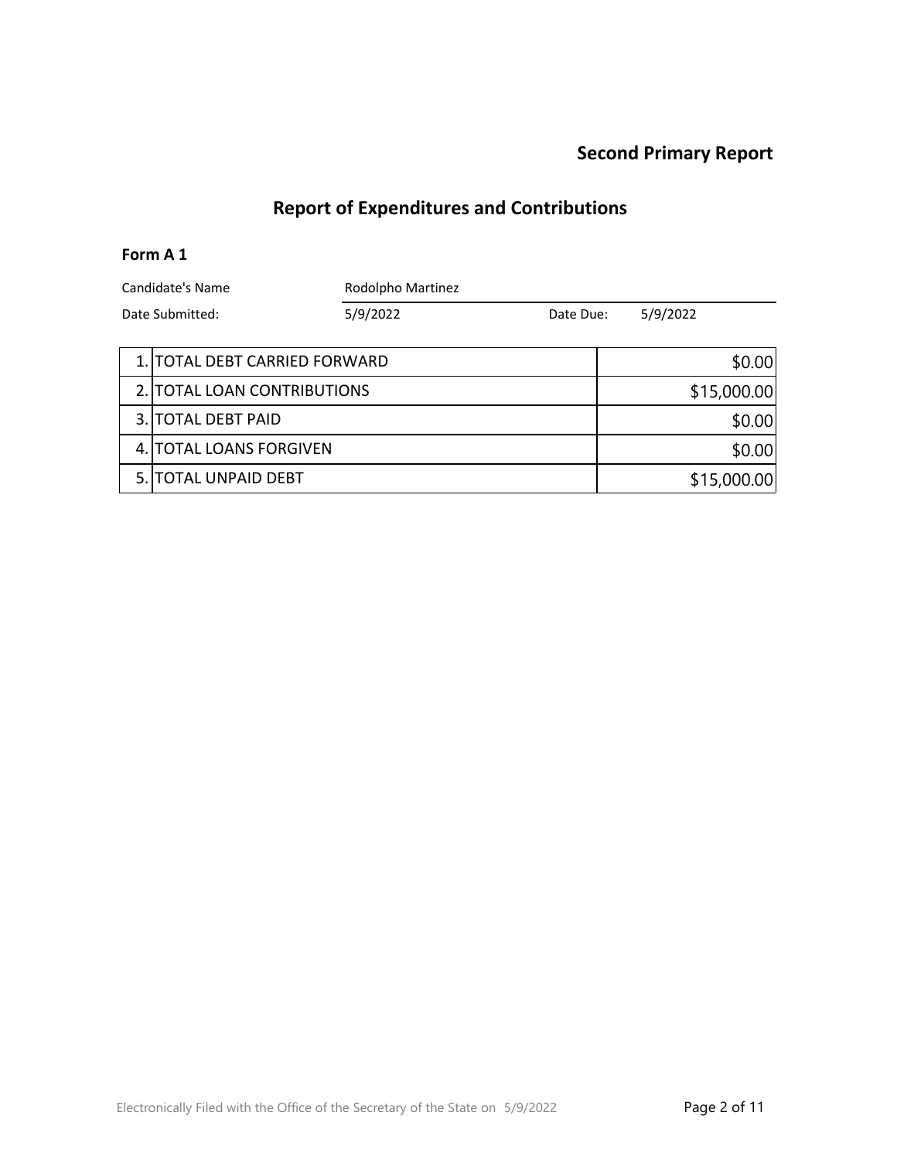# **Report of Expenditures and Contributions**

#### **Form A 1**

| Candidate's Name |                               | Rodolpho Martinez |           |             |
|------------------|-------------------------------|-------------------|-----------|-------------|
| Date Submitted:  |                               | 5/9/2022          | Date Due: | 5/9/2022    |
|                  |                               |                   |           |             |
|                  | 1. TOTAL DEBT CARRIED FORWARD |                   |           | \$0.00      |
|                  | 2. TOTAL LOAN CONTRIBUTIONS   |                   |           | \$15,000.00 |
|                  | 3. TOTAL DEBT PAID            |                   |           | \$0.00      |
|                  | 4. TOTAL LOANS FORGIVEN       |                   | \$0.00    |             |
|                  | 5. TOTAL UNPAID DEBT          |                   |           | \$15,000.00 |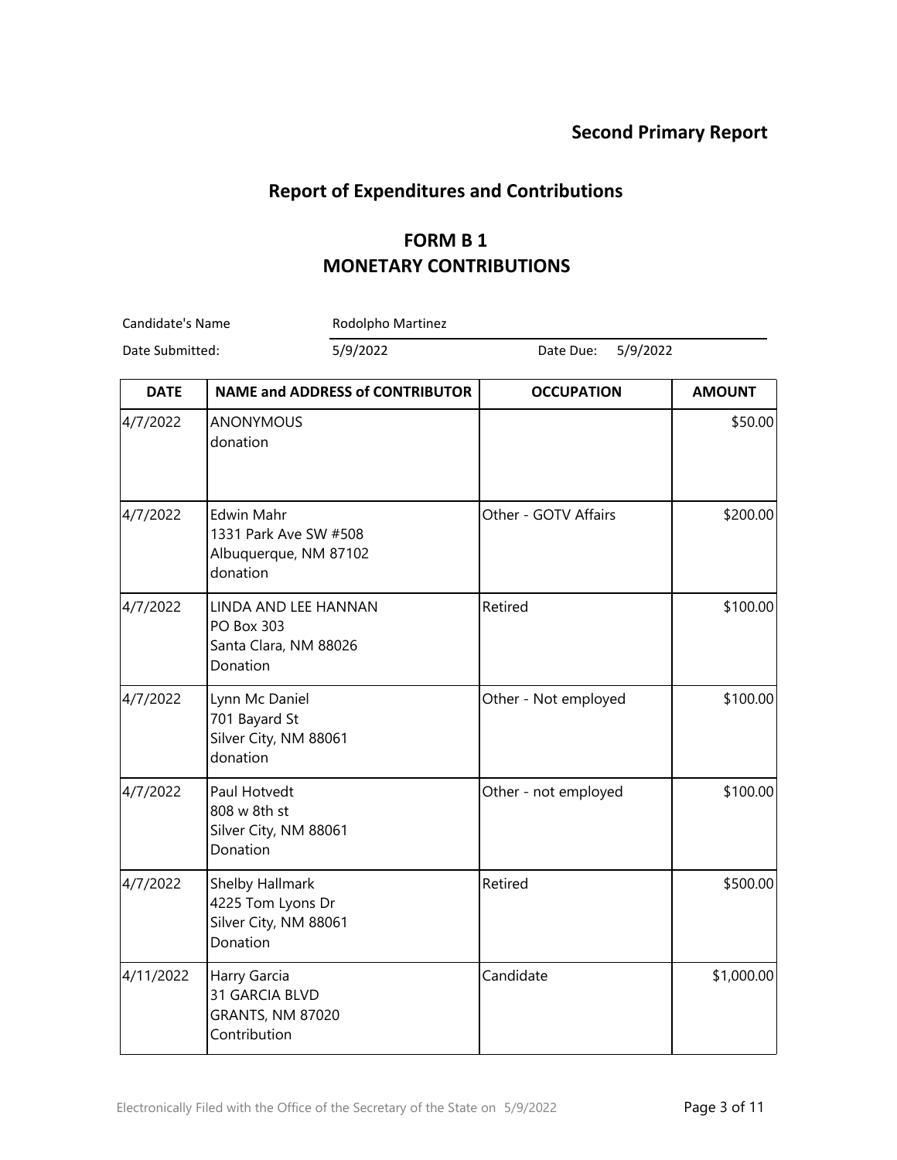#### **Report of Expenditures and Contributions**

### **FORM B 1 MONETARY CONTRIBUTIONS**

**DATE** NAME and ADDRESS of CONTRIBUTOR **CONTRIBUTOR OCCUPATION AMOUNT** 4/7/2022 ANONYMOUS donation \$50.00 4/7/2022 Edwin Mahr 1331 Park Ave SW #508 Albuquerque, NM 87102 donation Other - GOTV Affairs The S200.00 4/7/2022 LINDA AND LEE HANNAN PO Box 303 Santa Clara, NM 88026 **Donation** Retired \$100.00 4/7/2022 Lynn Mc Daniel 701 Bayard St Silver City, NM 88061 donation Other - Not employed | \$100.00 4/7/2022 Paul Hotvedt 808 w 8th st Silver City, NM 88061 Donation Other - not employed | \$100.00 4/7/2022 Shelby Hallmark 4225 Tom Lyons Dr Silver City, NM 88061 Donation Retired **1** \$500.00 4/11/2022 Harry Garcia 31 GARCIA BLVD GRANTS, NM 87020 **Contribution** Candidate 1.000.00 Candidate's Name Rodolpho Martinez Date Submitted: 5/9/2022 Date Due: 5/9/2022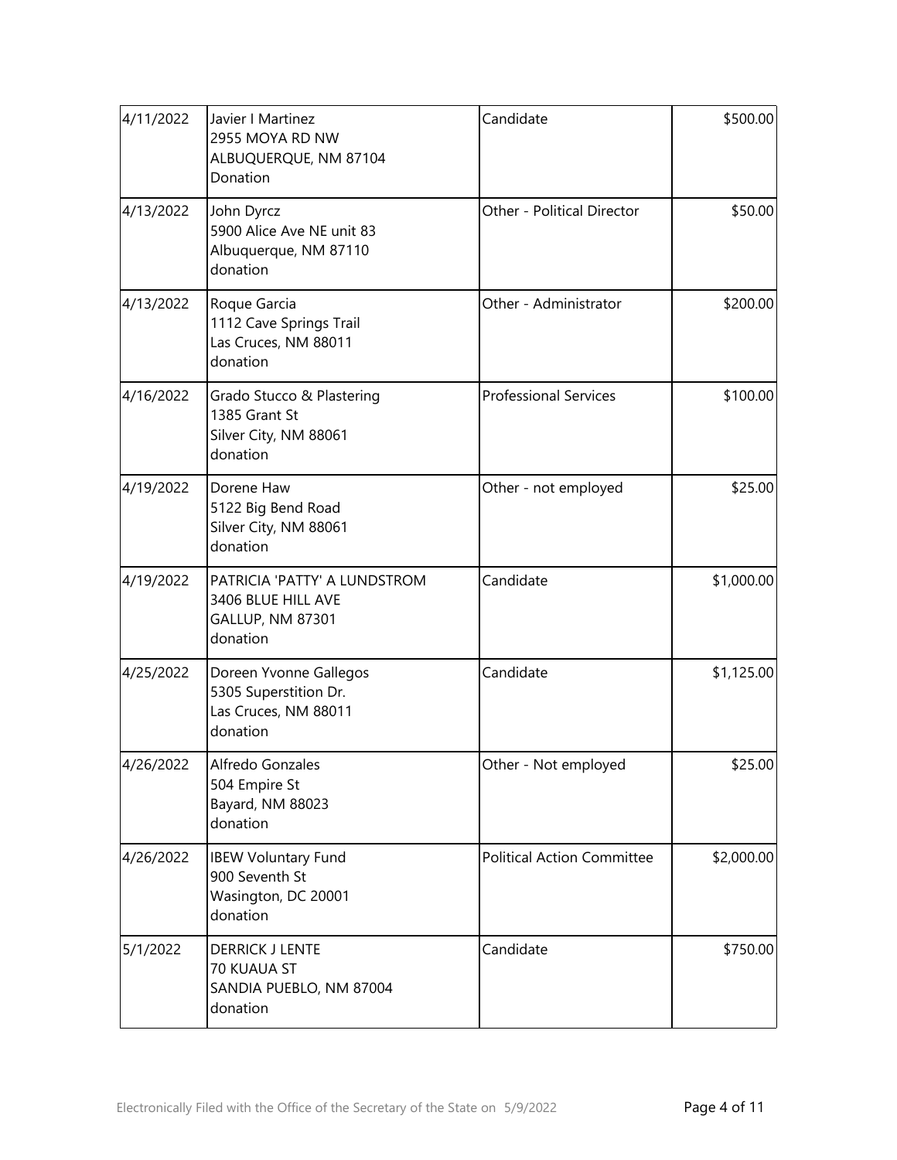| 4/11/2022                                                                                 | Javier I Martinez<br>2955 MOYA RD NW<br>ALBUQUERQUE, NM 87104<br>Donation           | Candidate                                       | \$500.00   |
|-------------------------------------------------------------------------------------------|-------------------------------------------------------------------------------------|-------------------------------------------------|------------|
| 4/13/2022<br>John Dyrcz<br>5900 Alice Ave NE unit 83<br>Albuquerque, NM 87110<br>donation |                                                                                     | Other - Political Director                      | \$50.00    |
| 4/13/2022                                                                                 | Roque Garcia<br>1112 Cave Springs Trail<br>Las Cruces, NM 88011<br>donation         | Other - Administrator                           |            |
| 4/16/2022                                                                                 | Grado Stucco & Plastering<br>1385 Grant St<br>Silver City, NM 88061<br>donation     | <b>Professional Services</b>                    |            |
| 4/19/2022                                                                                 | Dorene Haw<br>5122 Big Bend Road<br>Silver City, NM 88061<br>donation               | Other - not employed                            | \$25.00    |
| 4/19/2022                                                                                 | PATRICIA 'PATTY' A LUNDSTROM<br>3406 BLUE HILL AVE<br>GALLUP, NM 87301<br>donation  | Candidate                                       | \$1,000.00 |
| 4/25/2022                                                                                 | Doreen Yvonne Gallegos<br>5305 Superstition Dr.<br>Las Cruces, NM 88011<br>donation | Candidate                                       |            |
| 4/26/2022                                                                                 | Alfredo Gonzales<br>504 Empire St<br>Bayard, NM 88023<br>donation                   | Other - Not employed<br>\$25.00                 |            |
| 4/26/2022                                                                                 | <b>IBEW Voluntary Fund</b><br>900 Seventh St<br>Wasington, DC 20001<br>donation     | \$2,000.00<br><b>Political Action Committee</b> |            |
| 5/1/2022                                                                                  | <b>DERRICK J LENTE</b><br>70 KUAUA ST<br>SANDIA PUEBLO, NM 87004<br>donation        | Candidate                                       | \$750.00   |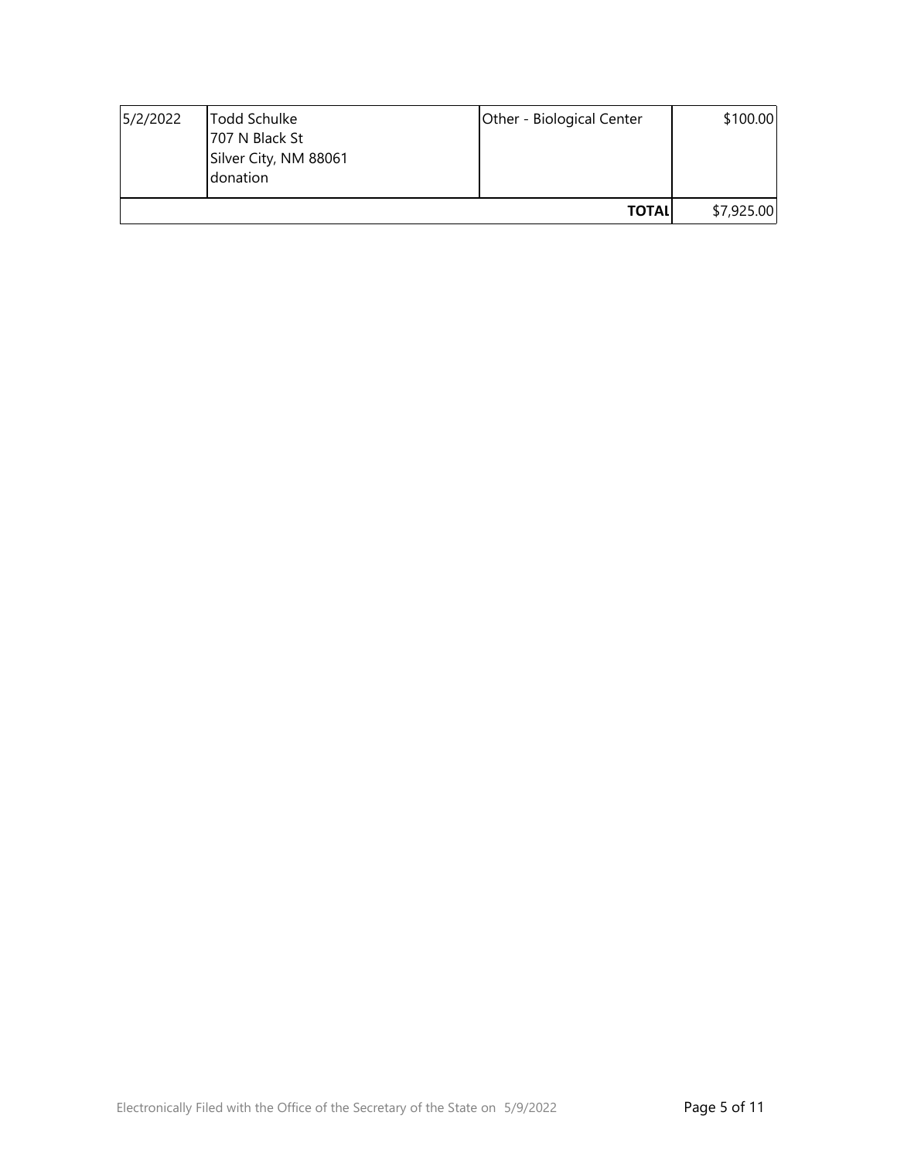| 5/2/2022 | Todd Schulke<br>707 N Black St<br>Silver City, NM 88061<br>donation | Other - Biological Center | \$100.00   |
|----------|---------------------------------------------------------------------|---------------------------|------------|
|          |                                                                     | <b>TOTAL</b>              | \$7,925.00 |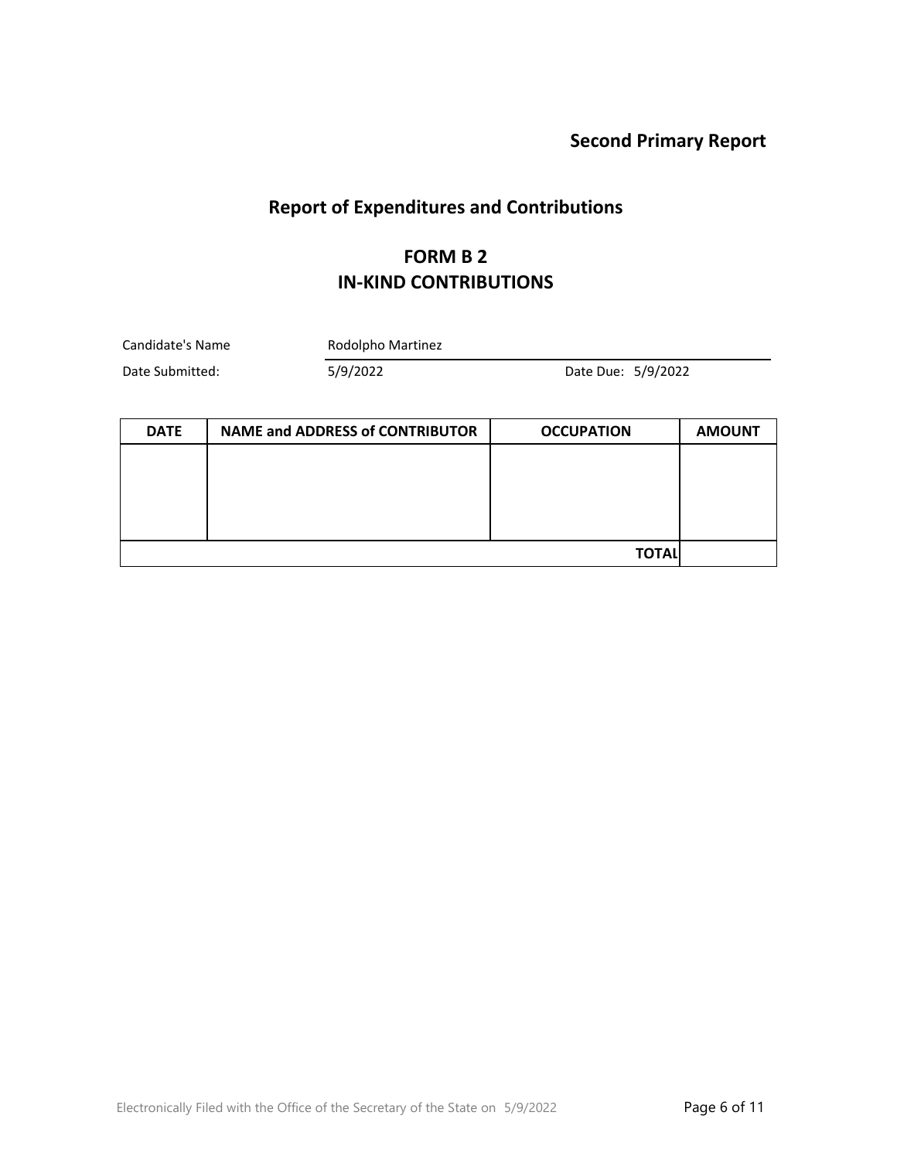# **Report of Expenditures and Contributions**

#### **FORM B 2 IN-KIND CONTRIBUTIONS**

| Candidate's Name | Rodolpho Martinez |                    |  |  |
|------------------|-------------------|--------------------|--|--|
| Date Submitted:  | 5/9/2022          | Date Due: 5/9/2022 |  |  |

| <b>DATE</b> | <b>NAME and ADDRESS of CONTRIBUTOR</b> | <b>OCCUPATION</b> | <b>AMOUNT</b> |
|-------------|----------------------------------------|-------------------|---------------|
|             |                                        |                   |               |
|             |                                        |                   |               |
|             |                                        |                   |               |
|             |                                        |                   |               |
|             |                                        | <b>TOTAL</b>      |               |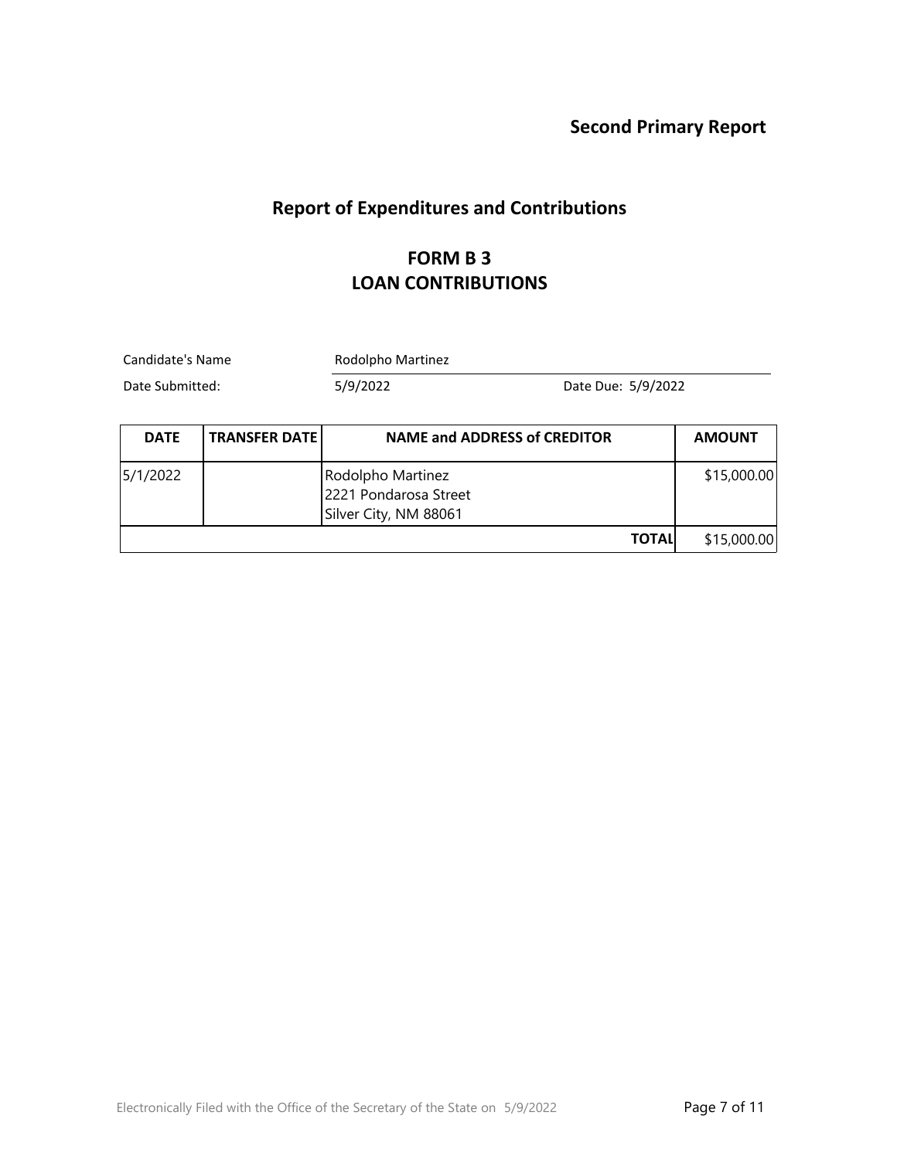## **Report of Expenditures and Contributions**

#### **FORM B 3 LOAN CONTRIBUTIONS**

| Candidate's Name<br>Date Submitted:<br><b>TRANSFER DATE</b><br><b>DATE</b> |  | Rodolpho Martinez                                                   |              |               |  |
|----------------------------------------------------------------------------|--|---------------------------------------------------------------------|--------------|---------------|--|
|                                                                            |  | 5/9/2022<br>Date Due: 5/9/2022                                      |              |               |  |
|                                                                            |  | <b>NAME and ADDRESS of CREDITOR</b>                                 |              | <b>AMOUNT</b> |  |
| 5/1/2022                                                                   |  | Rodolpho Martinez<br>2221 Pondarosa Street<br>Silver City, NM 88061 |              | \$15,000.00   |  |
|                                                                            |  |                                                                     | <b>TOTAL</b> | \$15,000.00   |  |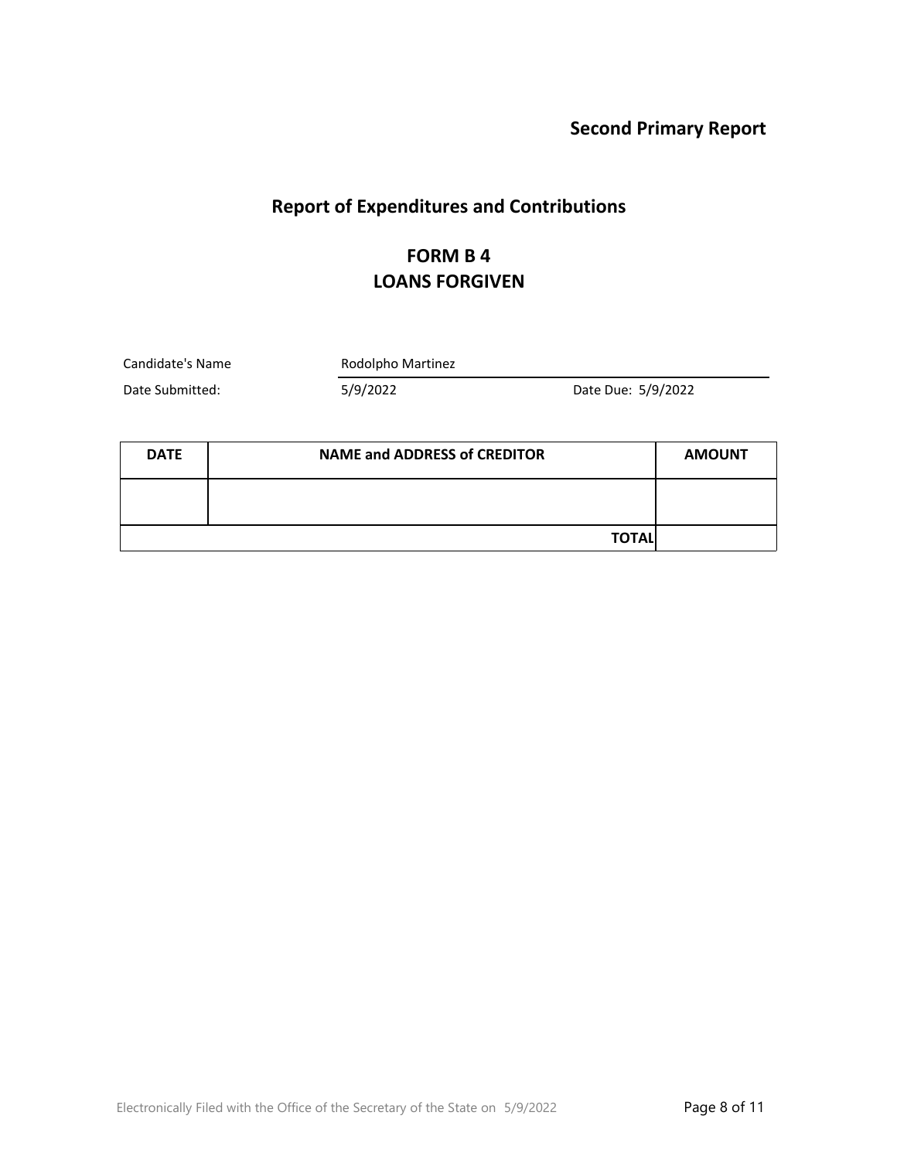## **Report of Expenditures and Contributions**

## **FORM B 4 LOANS FORGIVEN**

Candidate's Name Rodolpho Martinez

Date Submitted: 5/9/2022 Date Due: 5/9/2022

| <b>DATE</b> | <b>NAME and ADDRESS of CREDITOR</b> |  |
|-------------|-------------------------------------|--|
|             |                                     |  |
|             | <b>TOTAL</b>                        |  |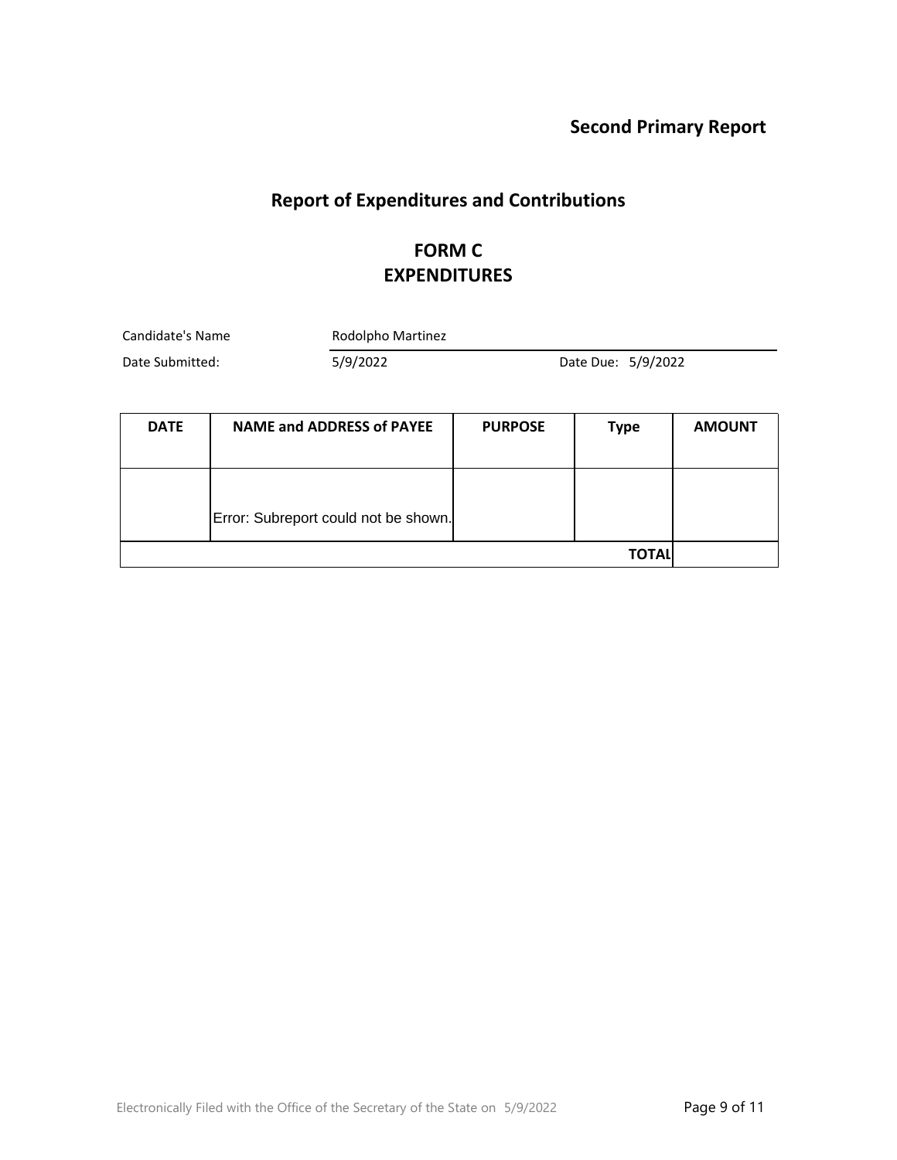## **Report of Expenditures and Contributions**

### **FORM C EXPENDITURES**

| Candidate's Name | Rodolpho Martinez |                    |  |
|------------------|-------------------|--------------------|--|
| Date Submitted:  | 5/9/2022          | Date Due: 5/9/2022 |  |

| <b>DATE</b> | <b>NAME and ADDRESS of PAYEE</b>     | <b>PURPOSE</b> | <b>Type</b>  | <b>AMOUNT</b> |
|-------------|--------------------------------------|----------------|--------------|---------------|
|             | Error: Subreport could not be shown. |                |              |               |
|             |                                      |                | <b>TOTAL</b> |               |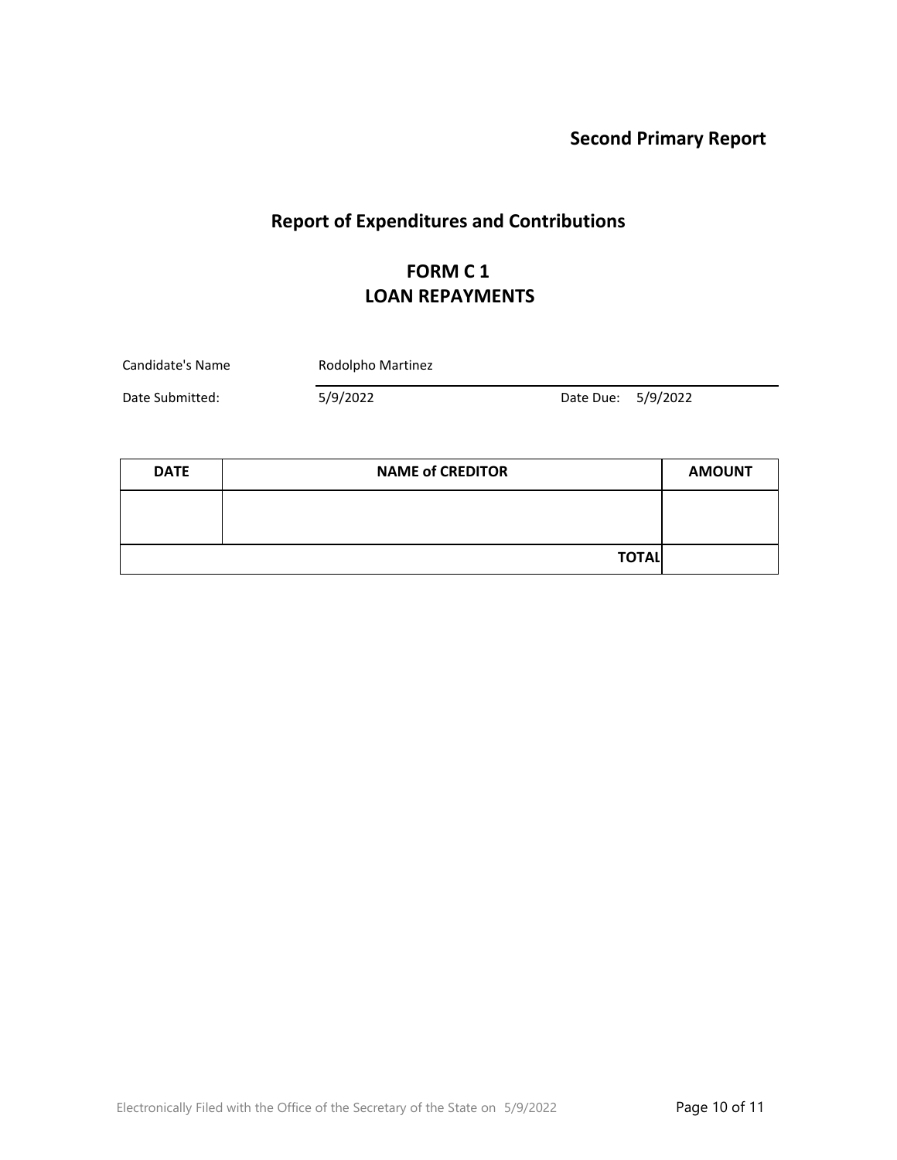# **Report of Expenditures and Contributions**

## **FORM C 1 LOAN REPAYMENTS**

| Candidate's Name | Rodolpho Martinez |                    |  |  |
|------------------|-------------------|--------------------|--|--|
| Date Submitted:  | 5/9/2022          | Date Due: 5/9/2022 |  |  |

| <b>DATE</b> | <b>NAME of CREDITOR</b> | <b>AMOUNT</b> |
|-------------|-------------------------|---------------|
|             |                         |               |
|             |                         |               |
|             | <b>TOTAL</b>            |               |